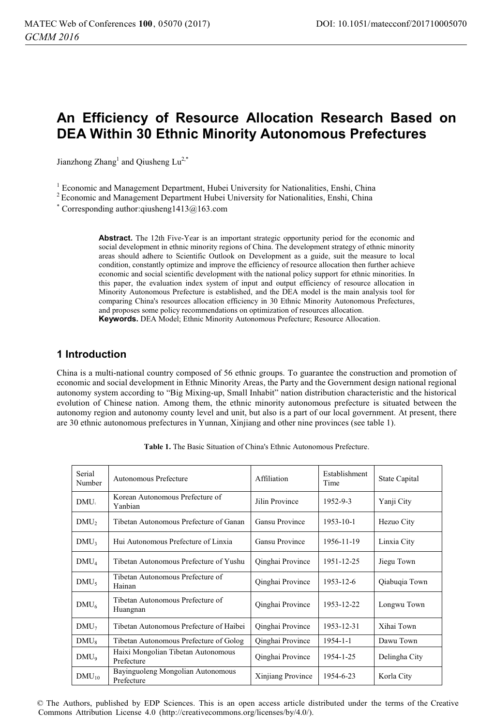# **An Efficiency of Resource Allocation Research Based on DEA Within 30 Ethnic Minority Autonomous Prefectures**

Jianzhong  $Zhang<sup>1</sup>$  and Qiusheng  $Lu<sup>2,*</sup>$ 

<sup>1</sup> Economic and Management Department, Hubei University for Nationalities, Enshi, China

2 Economic and Management Department Hubei University for Nationalities, Enshi, China

- Corresponding author:qiusheng1413@163.com

**Abstract.** The 12th Five-Year is an important strategic opportunity period for the economic and social development in ethnic minority regions of China. The development strategy of ethnic minority areas should adhere to Scientific Outlook on Development as a guide, suit the measure to local condition, constantly optimize and improve the efficiency of resource allocation then further achieve economic and social scientific development with the national policy support for ethnic minorities. In this paper, the evaluation index system of input and output efficiency of resource allocation in Minority Autonomous Prefecture is established, and the DEA model is the main analysis tool for comparing China's resources allocation efficiency in 30 Ethnic Minority Autonomous Prefectures, and proposes some policy recommendations on optimization of resources allocation. **Keywords.** DEA Model; Ethnic Minority Autonomous Prefecture; Resource Allocation.

## **1 Introduction**

China is a multi-national country composed of 56 ethnic groups. To guarantee the construction and promotion of economic and social development in Ethnic Minority Areas, the Party and the Government design national regional autonomy system according to "Big Mixing-up, Small Inhabit" nation distribution characteristic and the historical evolution of Chinese nation. Among them, the ethnic minority autonomous prefecture is situated between the autonomy region and autonomy county level and unit, but also is a part of our local government. At present, there are 30 ethnic autonomous prefectures in Yunnan, Xinjiang and other nine provinces (see table 1).

| Serial<br>Number | Autonomous Prefecture                            | Affiliation       | Establishment<br>Time | State Capital |
|------------------|--------------------------------------------------|-------------------|-----------------------|---------------|
| DMU <sub>1</sub> | Korean Autonomous Prefecture of<br>Yanbian       | Jilin Province    | 1952-9-3              | Yanji City    |
| DMU <sub>2</sub> | Tibetan Autonomous Prefecture of Ganan           | Gansu Province    | 1953-10-1             | Hezuo City    |
| DMU <sub>3</sub> | Hui Autonomous Prefecture of Linxia              | Gansu Province    | 1956-11-19            | Linxia City   |
| DMU <sub>4</sub> | Tibetan Autonomous Prefecture of Yushu           | Oinghai Province  | 1951-12-25            | Jiegu Town    |
| DMU <sub>5</sub> | Tibetan Autonomous Prefecture of<br>Hainan       | Qinghai Province  | 1953-12-6             | Qiabuqia Town |
| $DMU_6$          | Tibetan Autonomous Prefecture of<br>Huangnan     | Qinghai Province  | 1953-12-22            | Longwu Town   |
| DMU <sub>7</sub> | Tibetan Autonomous Prefecture of Haibei          | Oinghai Province  | 1953-12-31            | Xihai Town    |
| DMU <sub>8</sub> | Tibetan Autonomous Prefecture of Golog           | Oinghai Province  | $1954 - 1 - 1$        | Dawu Town     |
| DMU <sub>9</sub> | Haixi Mongolian Tibetan Autonomous<br>Prefecture | Qinghai Province  | 1954-1-25             | Delingha City |
| $DMU_{10}$       | Bayinguoleng Mongolian Autonomous<br>Prefecture  | Xinjiang Province | 1954-6-23             | Korla City    |

**Table 1.** The Basic Situation of China's Ethnic Autonomous Prefecture.

© The Authors, published by EDP Sciences. This is an open access article distributed under the terms of the Creative Commons Attribution License 4.0 (http://creativecommons.org/licenses/by/4.0/).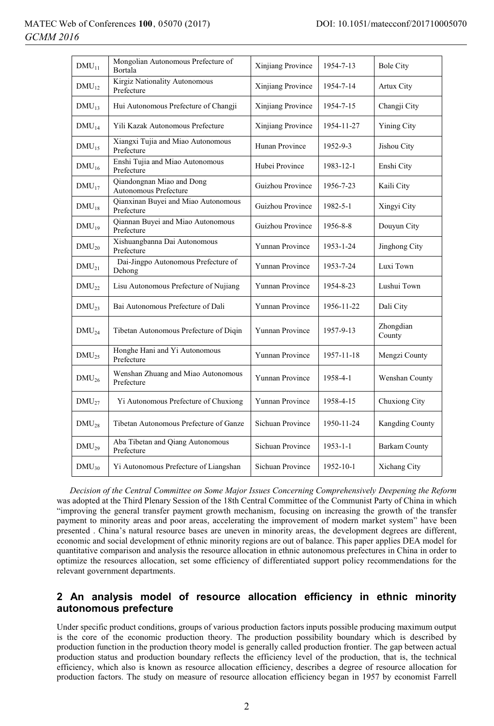| $DMU_{11}$ | Mongolian Autonomous Prefecture of<br>Bortala             | Xinjiang Province      | 1954-7-13      | <b>Bole City</b>       |
|------------|-----------------------------------------------------------|------------------------|----------------|------------------------|
| $DMU_{12}$ | Kirgiz Nationality Autonomous<br>Prefecture               | Xinjiang Province      | 1954-7-14      | Artux City             |
| $DMU_{13}$ | Hui Autonomous Prefecture of Changji                      | Xinjiang Province      | 1954-7-15      | Changji City           |
| $DMU_{14}$ | Yili Kazak Autonomous Prefecture                          | Xinjiang Province      | 1954-11-27     | <b>Yining City</b>     |
| $DMU_{15}$ | Xiangxi Tujia and Miao Autonomous<br>Prefecture           | Hunan Province         | 1952-9-3       | Jishou City            |
| $DMU_{16}$ | Enshi Tujia and Miao Autonomous<br>Prefecture             | Hubei Province         | 1983-12-1      | Enshi City             |
| $DMU_{17}$ | Qiandongnan Miao and Dong<br><b>Autonomous Prefecture</b> | Guizhou Province       | 1956-7-23      | Kaili City             |
| $DMU_{18}$ | Qianxinan Buyei and Miao Autonomous<br>Prefecture         | Guizhou Province       | 1982-5-1       | Xingyi City            |
| $DMU_{19}$ | Qiannan Buyei and Miao Autonomous<br>Prefecture           | Guizhou Province       | 1956-8-8       | Douyun City            |
| $DMU_{20}$ | Xishuangbanna Dai Autonomous<br>Prefecture                | Yunnan Province        | 1953-1-24      | Jinghong City          |
| $DMU_{21}$ | Dai-Jingpo Autonomous Prefecture of<br>Dehong             | Yunnan Province        | 1953-7-24      | Luxi Town              |
| $DMU_{22}$ | Lisu Autonomous Prefecture of Nujiang                     | Yunnan Province        | 1954-8-23      | Lushui Town            |
| $DMU_{23}$ | Bai Autonomous Prefecture of Dali                         | Yunnan Province        | 1956-11-22     | Dali City              |
| $DMU_{24}$ | Tibetan Autonomous Prefecture of Diqin                    | <b>Yunnan Province</b> | 1957-9-13      | Zhongdian<br>County    |
| $DMU_{25}$ | Honghe Hani and Yi Autonomous<br>Prefecture               | Yunnan Province        | 1957-11-18     | Mengzi County          |
| $DMU_{26}$ | Wenshan Zhuang and Miao Autonomous<br>Prefecture          | Yunnan Province        | 1958-4-1       | Wenshan County         |
| $DMU_{27}$ | Yi Autonomous Prefecture of Chuxiong                      | Yunnan Province        | 1958-4-15      | Chuxiong City          |
| $DMU_{28}$ | Tibetan Autonomous Prefecture of Ganze                    | Sichuan Province       | 1950-11-24     | <b>Kangding County</b> |
| $DMU_{29}$ | Aba Tibetan and Qiang Autonomous<br>Prefecture            | Sichuan Province       | $1953 - 1 - 1$ | <b>Barkam County</b>   |
| $DMU_{30}$ | Yi Autonomous Prefecture of Liangshan                     | Sichuan Province       | 1952-10-1      | Xichang City           |

*Decision of the Central Committee on Some Major Issues Concerning Comprehensively Deepening the Reform* was adopted at the Third Plenary Session of the 18th Central Committee of the Communist Party of China in which "improving the general transfer payment growth mechanism, focusing on increasing the growth of the transfer payment to minority areas and poor areas, accelerating the improvement of modern market system" have been presented . China's natural resource bases are uneven in minority areas, the development degrees are different, economic and social development of ethnic minority regions are out of balance. This paper applies DEA model for quantitative comparison and analysis the resource allocation in ethnic autonomous prefectures in China in order to optimize the resources allocation, set some efficiency of differentiated support policy recommendations for the relevant government departments.

# **2 An analysis model of resource allocation efficiency in ethnic minority autonomous prefecture**

Under specific product conditions, groups of various production factors inputs possible producing maximum output is the core of the economic production theory. The production possibility boundary which is described by production function in the production theory model is generally called production frontier. The gap between actual production status and production boundary reflects the efficiency level of the production, that is, the technical efficiency, which also is known as resource allocation efficiency, describes a degree of resource allocation for production factors. The study on measure of resource allocation efficiency began in 1957 by economist Farrell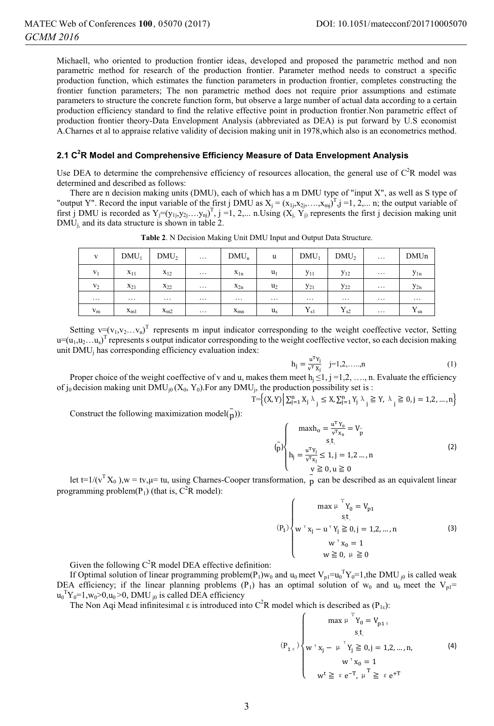Michaell, who oriented to production frontier ideas, developed and proposed the parametric method and non parametric method for research of the production frontier. Parameter method needs to construct a specific production function, which estimates the function parameters in production frontier, completes constructing the frontier function parameters; The non parametric method does not require prior assumptions and estimate parameters to structure the concrete function form, but observe a large number of actual data according to a certain production efficiency standard to find the relative effective point in production frontier.Non parametric effect of production frontier theory-Data Envelopment Analysis (abbreviated as DEA) is put forward by U.S economist A.Charnes et al to appraise relative validity of decision making unit in 1978,which also is an econometrics method.

### **2.1 C2 R Model and Comprehensive Efficiency Measure of Data Envelopment Analysis**

Use DEA to determine the comprehensive efficiency of resources allocation, the general use of  $C<sup>2</sup>R$  model was determined and described as follows:

There are n decision making units (DMU), each of which has a m DMU type of "input X", as well as S type of "output Y". Record the input variable of the first j DMU as  $X_j = (x_{1j}, x_{2j},...,x_{mj})^T$ , j =1, 2,... n; the output variable of first j DMU is recorded as  $Y_j=(y_{1j},y_{2j},...,y_{nj})^T$ , j =1, 2,... n.Using  $(X_j, Y_j)$  represents the first j decision making unit  $DMU<sub>i</sub>$ , and its data structure is shown in table 2.

| $\mathbf{V}$   | $DMU_1$  | DMU <sub>2</sub> | $\cdots$ | $DMU_n$  | u              | $DMU_1$  | DMU <sub>2</sub>       | $\cdots$ | <b>DMUn</b> |
|----------------|----------|------------------|----------|----------|----------------|----------|------------------------|----------|-------------|
| V <sub>1</sub> | $x_{11}$ | $x_{12}$         | $\cdots$ | $x_{1n}$ | $u_1$          | $y_{11}$ | $y_{12}$               | $\cdots$ | $y_{1n}$    |
| V <sub>2</sub> | $x_{21}$ | $X_{22}$         | $\cdots$ | $x_{2n}$ | $u_2$          | $y_{21}$ | <b>y</b> <sub>22</sub> | $\cdots$ | $y_{2n}$    |
| $\cdots$       | $\cdots$ | $\cdots$         | $\cdots$ | $\cdots$ | $\cdots$       | $\cdots$ | $\cdots$               | $\cdots$ | $\cdots$    |
| $v_m$          | $X_{m1}$ | $x_{m2}$         | $\cdots$ | $x_{mn}$ | u <sub>s</sub> | $Y_{s1}$ | $Y_{s2}$               | $\cdots$ | $Y_{sn}$    |

**Table 2**. N Decision Making Unit DMU Input and Output Data Structure.

Setting  $v=(v_1,v_2...v_n)^T$  represents m input indicator corresponding to the weight coeffective vector, Setting  $u=(u_1,u_2...u_s)^T$  represents s output indicator corresponding to the weight coeffective vector, so each decision making unit  $DMU_i$  has corresponding efficiency evaluation index:

$$
h_j = \frac{u^T Y_j}{v^T X_j} \quad j=1,2,\dots,n
$$
 (1)

Proper choice of the weight coeffective of v and u, makes them meet  $h_i \le 1, j = 1,2, \ldots, n$ . Evaluate the efficiency of  $j_0$  decision making unit  $DMU_{i0}$  ( $X_0$ ,  $Y_0$ ). For any  $DMU_i$ , the production possibility set is :

$$
T = \left\{ (X, Y) \middle| \sum_{j=1}^{n} X_j \lambda_j \le X, \sum_{j=1}^{n} Y_j \lambda_j \ge Y, \lambda_j \ge 0, j = 1, 2, ..., n \right\}
$$

Construct the following maximization model( $\bar{p}$ )):

$$
(\bar{p})\begin{cases}\n\max h_o = \frac{u^T Y_0}{v^T x_0} = V_{\bar{p}} \\
s.t. \\
h_j = \frac{u^T Y_j}{v^T x_j} \le 1, j = 1, 2 ..., n \\
v \ge 0, u \ge 0\n\end{cases}
$$
\n(2)

let t=1/(v<sup>T</sup> X<sub>0</sub>),w = tv,µ= tu, using Charnes-Cooper transformation,  $\frac{v}{p}$  can be described as an equivalent linear programming problem $(P_1)$  (that is,  $C^2R$  model):

$$
(P_1)\begin{cases}\n\max \mu \begin{array}{c} \Upsilon_0 = V_{p1} \\
\text{s.t.} \\
w^\top x_j - u^\top Y_j \geq 0, j = 1, 2, ..., n \\
w^\top x_0 = 1 \\
w \geq 0, \mu \geq 0\n\end{array}\n\end{cases}
$$
\n(3)

Given the following  $C^2R$  model DEA effective definition:

If Optimal solution of linear programming problem( $P_1$ ) $w_0$  and  $u_0$  meet  $V_{p1} = u_0^T Y_0 = 1$ , the DMU  $_{j0}$  is called weak DEA efficiency; if the linear planning problems (P<sub>1</sub>) has an optimal solution of w<sub>0</sub> and u<sub>0</sub> meet the V<sub>p1</sub>=  $u_0$ <sup>T</sup>Y<sub>0</sub>=1,w<sub>0</sub>>0,u<sub>0</sub>>0, DMU<sub>j0</sub> is called DEA efficiency

The Non Aqi Mead infinitesimal  $\varepsilon$  is introduced into  $C^2R$  model which is described as  $(P_{1\varepsilon})$ :

$$
(P_{1\epsilon})\begin{cases}\max \mu^T Y_0 = V_{p1\epsilon} \\
\text{s.t.} \\
w^{\tau} x_j - \mu^{\tau} Y_j \ge 0, j = 1, 2, ..., n, \\
w^{\tau} x_0 = 1 \\
w^{\tau} \ge \epsilon e^{-T}, \mu^T \ge \epsilon e^{+T}\n\end{cases}
$$
\n(4)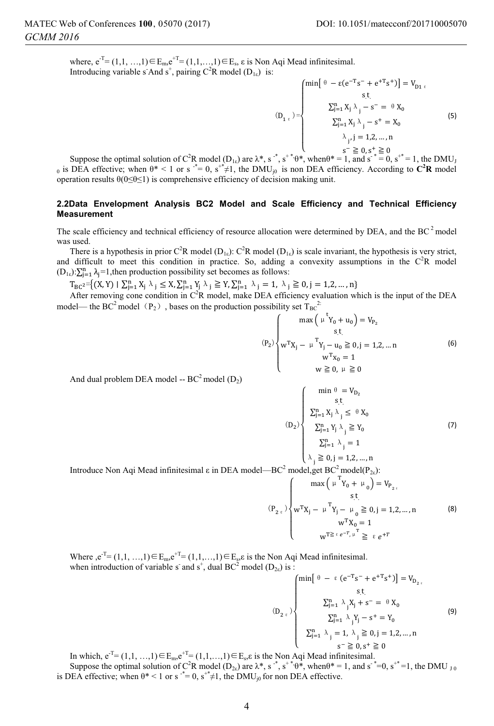where,  $e^{-T} = (1,1, ..., 1) \in E_m$ ,  $e^{+T} = (1,1,...,1) \in E_s$ ,  $\varepsilon$  is Non Aqi Mead infinitesimal. Introducing variable s And s<sup>+</sup>, pairing  $C^2R$  model  $(D_{1\epsilon})$  is:

$$
(D_{1\epsilon}) = \begin{cases} \min[\theta - \epsilon(e^{-T} s^{-} + e^{+T} s^{+})] = V_{D1\epsilon} \\ \text{s.t.} \\ \sum_{j=1}^{n} X_{j} \lambda_{j} - s^{-} = \theta X_{0} \\ \sum_{j=1}^{n} X_{j} \lambda_{j} - s^{+} = X_{0} \\ \lambda_{j}, j = 1, 2, ..., n \\ s^{-} \ge 0, s^{+} \ge 0 \end{cases}
$$
(5)

Suppose the optimal solution of C<sup>2</sup>R model (D<sub>1ε</sub>) are  $\lambda^*$ , s<sup>\*</sup>, s<sup>+\*</sup> $\theta^*$ , when $\theta^* = 1$ , and s<sup>\*</sup> = 0, s<sup>+\*</sup> = 1, the DMU<sub>J</sub>  $\alpha_0$  is DEA effective; when  $\theta^*$  < 1 or s<sup>\*</sup>= 0, s<sup>\*\*</sup> $\neq$ 1, the DMU<sub>j0</sub> is non DEA efficiency. According to  $\mathbb{C}^2 \mathbb{R}$  model operation results θ(0≤θ≤1) is comprehensive efficiency of decision making unit.

### **2.2Data Envelopment Analysis BC2 Model and Scale Efficiency and Technical Efficiency Measurement**

The scale efficiency and technical efficiency of resource allocation were determined by DEA, and the BC<sup>2</sup> model was used.

There is a hypothesis in prior  $C^2 R$  model  $(D_{1e})$ :  $C^2 R$  model  $(D_{1e})$  is scale invariant, the hypothesis is very strict, and difficult to meet this condition in practice. So, adding a convexity assumptions in the  $C^2R$  model  $(D_{1s})$ : $\sum_{i=1}^{n} \lambda_i = 1$ , then production possibility set becomes as follows:

 $T_{BC} = \{(X, Y) \mid \sum_{i=1}^{n} X_i \lambda_i \leq X, \sum_{i=1}^{n} Y_i \lambda_i \geq Y, \sum_{i=1}^{n} \lambda_i = 1, \lambda_i \geq 0, j = 1, 2, ..., n\}$ 

After removing cone condition in  $C^2R$  model, make DEA efficiency evaluation which is the input of the DEA model— the BC<sup>2</sup> model (P<sub>2</sub>), bases on the production possibility set T<sub>BC</sub><sup>2:</sup>

$$
(P_2)\begin{cases}\max\left(\begin{array}{c} \mu^t Y_0 + u_0\right) = V_{P_2} \\ \text{s.t.} \\ w^T X_j - \mu^T Y_j - u_0 \geq 0, j = 1, 2, \dots n \\ w^T x_0 = 1 \\ w \geq 0, \ \mu \geq 0 \end{array}\right. \end{cases} \tag{6}
$$

And dual problem DEA model --  $BC<sup>2</sup>$  model (D<sub>2</sub>)

$$
(D_2)\n\begin{cases}\n\min \theta = V_{D_2} \\
s.t. \\
\sum_{j=1}^n X_j \lambda_j \leq \theta X_0 \\
\sum_{j=1}^n Y_j \lambda_j \geq Y_0 \\
\sum_{j=1}^n \lambda_j = 1 \\
\lambda_j \geq 0, j = 1, 2, ..., n\n\end{cases}
$$
\n(7)

Introduce Non Aqi Mead infinitesimal ε in DEA model—BC<sup>2</sup> model,get BC<sup>2</sup> model(P<sub>2ε</sub>):

$$
(P_{2\epsilon})\begin{cases}\n\max\left(\begin{array}{cc} \mu^T Y_0 + \mu_0 \end{array}\right) = V_{P_{2\epsilon}} \\
s.t. \\
w^T X_j - \mu^T Y_j - \mu_0 \ge 0, j = 1, 2, ..., n \\
w^T X_0 = 1 \\
w^T \ge \epsilon e^{-T} , \mu^T \ge \epsilon e^{+T}\n\end{cases}
$$
\n(8)

Where  $e^{-T} = (1,1, ..., 1) \in E_m$ , $e^{+T} = (1,1, ..., 1) \in E_s$ , $\varepsilon$  is the Non Aqi Mead infinitesimal. when introduction of variable s and s<sup>+</sup>, dual BC<sup>2</sup> model ( $D_{2\varepsilon}$ ) is :

$$
(D_{2\epsilon})\n\begin{cases}\n\min[\theta - \epsilon (e^{-T} s^{-} + e^{+T} s^{+})] = V_{D_{2\epsilon}} \\
\text{s.t.} \\
\Sigma_{j=1}^{n} \lambda_{j} X_{j} + s^{-} = \theta X_{0} \\
\Sigma_{j=1}^{n} \lambda_{j} Y_{j} - s^{+} = Y_{0} \\
\Sigma_{j=1}^{n} \lambda_{j} = 1, \lambda_{j} \geq 0, j = 1, 2, ..., n \\
s^{-} \geq 0, s^{+} \geq 0\n\end{cases}
$$
\n
$$
(9)
$$

In which,  $e^{-T}=(1,1,\ldots,1)\in E_{m}e^{+T}=(1,1,\ldots,1)\in E_{s}e$  is the Non Aqi Mead infinitesimal. Suppose the optimal solution of C<sup>2</sup>R model (D<sub>2ε</sub>) are  $\lambda^*$ , s<sup>\*</sup>, s<sup>+\*</sup> $\theta^*$ , when $\theta^* = 1$ , and s<sup>\*</sup> $= 0$ , s<sup>+\*</sup> $= 1$ , the DMU <sub>J<sub>0</sub></sub> is DEA effective; when  $\theta^*$  < 1 or s  $\phi^*$  = 0, s  $\phi^*$  +1, the DMU<sub>i0</sub> for non DEA effective.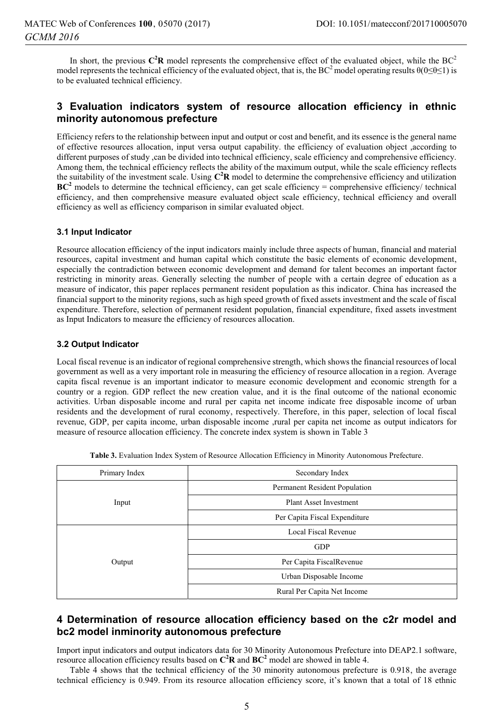In short, the previous  $C^2R$  model represents the comprehensive effect of the evaluated object, while the  $BC^2$ model represents the technical efficiency of the evaluated object, that is, the BC<sup>2</sup> model operating results  $\theta(0 \le \theta \le 1)$  is to be evaluated technical efficiency.

# **3 Evaluation indicators system of resource allocation efficiency in ethnic minority autonomous prefecture**

Efficiency refers to the relationship between input and output or cost and benefit, and its essence is the general name of effective resources allocation, input versa output capability. the efficiency of evaluation object ,according to different purposes of study ,can be divided into technical efficiency, scale efficiency and comprehensive efficiency. Among them, the technical efficiency reflects the ability of the maximum output, while the scale efficiency reflects the suitability of the investment scale. Using **C<sup>2</sup> R** model to determine the comprehensive efficiency and utilization  $BC<sup>2</sup>$  models to determine the technical efficiency, can get scale efficiency = comprehensive efficiency/ technical efficiency, and then comprehensive measure evaluated object scale efficiency, technical efficiency and overall efficiency as well as efficiency comparison in similar evaluated object.

#### **3.1 Input Indicator**

Resource allocation efficiency of the input indicators mainly include three aspects of human, financial and material resources, capital investment and human capital which constitute the basic elements of economic development, especially the contradiction between economic development and demand for talent becomes an important factor restricting in minority areas. Generally selecting the number of people with a certain degree of education as a measure of indicator, this paper replaces permanent resident population as this indicator. China has increased the financial support to the minority regions, such as high speed growth of fixed assets investment and the scale of fiscal expenditure. Therefore, selection of permanent resident population, financial expenditure, fixed assets investment as Input Indicators to measure the efficiency of resources allocation.

### **3.2 Output Indicator**

Local fiscal revenue is an indicator of regional comprehensive strength, which shows the financial resources of local government as well as a very important role in measuring the efficiency of resource allocation in a region. Average capita fiscal revenue is an important indicator to measure economic development and economic strength for a country or a region. GDP reflect the new creation value, and it is the final outcome of the national economic activities. Urban disposable income and rural per capita net income indicate free disposable income of urban residents and the development of rural economy, respectively. Therefore, in this paper, selection of local fiscal revenue, GDP, per capita income, urban disposable income ,rural per capita net income as output indicators for measure of resource allocation efficiency. The concrete index system is shown in Table 3

| Primary Index | Secondary Index               |  |  |
|---------------|-------------------------------|--|--|
|               | Permanent Resident Population |  |  |
| Input         | Plant Asset Investment        |  |  |
|               | Per Capita Fiscal Expenditure |  |  |
|               | Local Fiscal Revenue          |  |  |
|               | <b>GDP</b>                    |  |  |
| Output        | Per Capita FiscalRevenue      |  |  |
|               | Urban Disposable Income       |  |  |
|               | Rural Per Capita Net Income   |  |  |

**Table 3.** Evaluation Index System of Resource Allocation Efficiency in Minority Autonomous Prefecture.

# **4 Determination of resource allocation efficiency based on the c2r model and bc2 model inminority autonomous prefecture**

Import input indicators and output indicators data for 30 Minority Autonomous Prefecture into DEAP2.1 software, resource allocation efficiency results based on  $\mathbb{C}^2 \mathbb{R}$  and  $\mathbb{B} \mathbb{C}^2$  model are showed in table 4.

Table 4 shows that the technical efficiency of the 30 minority autonomous prefecture is 0.918, the average technical efficiency is 0.949. From its resource allocation efficiency score, it's known that a total of 18 ethnic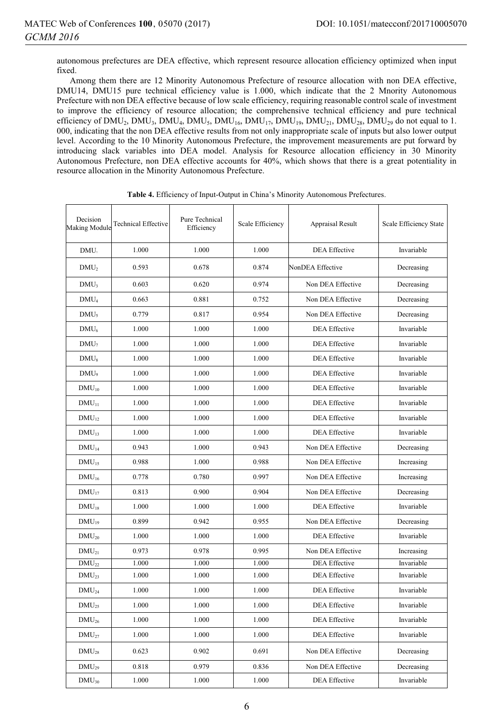autonomous prefectures are DEA effective, which represent resource allocation efficiency optimized when input fixed.

Among them there are 12 Minority Autonomous Prefecture of resource allocation with non DEA effective, DMU14, DMU15 pure technical efficiency value is 1.000, which indicate that the 2 Mnority Autonomous Prefecture with non DEA effective because of low scale efficiency, requiring reasonable control scale of investment to improve the efficiency of resource allocation; the comprehensive technical efficiency and pure technical efficiency of DMU<sub>2</sub>, DMU<sub>3</sub>, DMU<sub>4</sub>, DMU<sub>5</sub>, DMU<sub>16</sub>, DMU<sub>17</sub>, DMU<sub>19</sub>, DMU<sub>21</sub>, DMU<sub>28</sub>, DMU<sub>29</sub> do not equal to 1. 000, indicating that the non DEA effective results from not only inappropriate scale of inputs but also lower output level. According to the 10 Minority Autonomous Prefecture, the improvement measurements are put forward by introducing slack variables into DEA model. Analysis for Resource allocation efficiency in 30 Minority Autonomous Prefecture, non DEA effective accounts for 40%, which shows that there is a great potentiality in resource allocation in the Minority Autonomous Prefecture.

| Decision<br><b>Making Module</b> | <b>Technical Effective</b> | Pure Technical<br>Efficiency | Scale Efficiency | Appraisal Result     | Scale Efficiency State |
|----------------------------------|----------------------------|------------------------------|------------------|----------------------|------------------------|
| DMU <sub>1</sub>                 | 1.000                      | 1.000                        | 1.000            | <b>DEA</b> Effective | Invariable             |
| DMU <sub>2</sub>                 | 0.593                      | 0.678                        | 0.874            | NonDEA Effective     | Decreasing             |
| DMU <sub>3</sub>                 | 0.603                      | 0.620                        | 0.974            | Non DEA Effective    | Decreasing             |
| DMU <sub>4</sub>                 | 0.663                      | 0.881                        | 0.752            | Non DEA Effective    | Decreasing             |
| $DMU_5$                          | 0.779                      | 0.817                        | 0.954            | Non DEA Effective    | Decreasing             |
| $DMU_6$                          | 1.000                      | 1.000                        | 1.000            | <b>DEA</b> Effective | Invariable             |
| DMU <sub>7</sub>                 | 1.000                      | 1.000                        | 1.000            | <b>DEA</b> Effective | Invariable             |
| $DMU_8$                          | 1.000                      | 1.000                        | 1.000            | <b>DEA</b> Effective | Invariable             |
| DMU <sub>9</sub>                 | 1.000                      | 1.000                        | 1.000            | <b>DEA</b> Effective | Invariable             |
| $DMU_{10}$                       | 1.000                      | 1.000                        | 1.000            | <b>DEA</b> Effective | Invariable             |
| $DMU_{11}$                       | 1.000                      | 1.000                        | 1.000            | <b>DEA</b> Effective | Invariable             |
| $DMU_{12}$                       | 1.000                      | 1.000                        | 1.000            | <b>DEA</b> Effective | Invariable             |
| $DMU_{13}$                       | 1.000                      | 1.000                        | 1.000            | <b>DEA</b> Effective | Invariable             |
| $DMU_{14}$                       | 0.943                      | 1.000                        | 0.943            | Non DEA Effective    | Decreasing             |
| $DMU_{15}$                       | 0.988                      | 1.000                        | 0.988            | Non DEA Effective    | Increasing             |
| $DMU_{16}$                       | 0.778                      | 0.780                        | 0.997            | Non DEA Effective    | Increasing             |
| $DMU_{17}$                       | 0.813                      | 0.900                        | 0.904            | Non DEA Effective    | Decreasing             |
| $DMU_{18}$                       | 1.000                      | 1.000                        | 1.000            | <b>DEA</b> Effective | Invariable             |
| $DMU_{19}$                       | 0.899                      | 0.942                        | 0.955            | Non DEA Effective    | Decreasing             |
| $DMU_{20}$                       | 1.000                      | 1.000                        | 1.000            | <b>DEA</b> Effective | Invariable             |
| $DMU_{21}$                       | 0.973                      | 0.978                        | 0.995            | Non DEA Effective    | Increasing             |
| $DMU_{22}$                       | 1.000                      | 1.000                        | 1.000            | DEA Effective        | Invariable             |
| $DMU_{23}$                       | 1.000                      | 1.000                        | 1.000            | <b>DEA</b> Effective | Invariable             |
| $DMU_{24}$                       | 1.000                      | 1.000                        | 1.000            | <b>DEA</b> Effective | Invariable             |
| $DMU_{25}$                       | 1.000                      | 1.000                        | 1.000            | <b>DEA</b> Effective | Invariable             |
| $DMU_{26}$                       | 1.000                      | 1.000                        | 1.000            | <b>DEA</b> Effective | Invariable             |
| $DMU_{27}$                       | 1.000                      | 1.000                        | 1.000            | <b>DEA</b> Effective | Invariable             |
| $DMU_{28}$                       | 0.623                      | 0.902                        | 0.691            | Non DEA Effective    | Decreasing             |
| $DMU_{29}$                       | 0.818                      | 0.979                        | 0.836            | Non DEA Effective    | Decreasing             |
| $DMU_{30}$                       | 1.000                      | 1.000                        | 1.000            | <b>DEA</b> Effective | Invariable             |

**Table 4.** Efficiency of Input-Output in China's Minority Autonomous Prefectures.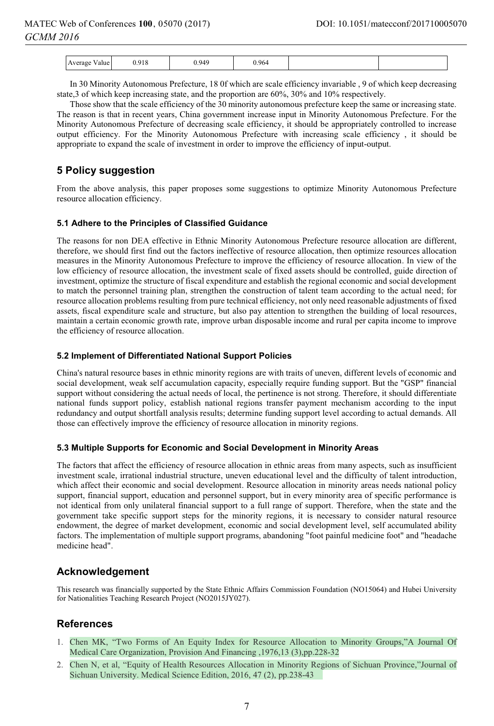| Average<br>Value | 1.918 | 949 | 0.964 |  |
|------------------|-------|-----|-------|--|

In 30 Minority Autonomous Prefecture, 18 0f which are scale efficiency invariable , 9 of which keep decreasing state,3 of which keep increasing state, and the proportion are 60%, 30% and 10% respectively.

Those show that the scale efficiency of the 30 minority autonomous prefecture keep the same or increasing state. The reason is that in recent years, China government increase input in Minority Autonomous Prefecture. For the Minority Autonomous Prefecture of decreasing scale efficiency, it should be appropriately controlled to increase output efficiency. For the Minority Autonomous Prefecture with increasing scale efficiency , it should be appropriate to expand the scale of investment in order to improve the efficiency of input-output.

# **5 Policy suggestion**

From the above analysis, this paper proposes some suggestions to optimize Minority Autonomous Prefecture resource allocation efficiency.

## **5.1 Adhere to the Principles of Classified Guidance**

The reasons for non DEA effective in Ethnic Minority Autonomous Prefecture resource allocation are different, therefore, we should first find out the factors ineffective of resource allocation, then optimize resources allocation measures in the Minority Autonomous Prefecture to improve the efficiency of resource allocation. In view of the low efficiency of resource allocation, the investment scale of fixed assets should be controlled, guide direction of investment, optimize the structure of fiscal expenditure and establish the regional economic and social development to match the personnel training plan, strengthen the construction of talent team according to the actual need; for resource allocation problems resulting from pure technical efficiency, not only need reasonable adjustments of fixed assets, fiscal expenditure scale and structure, but also pay attention to strengthen the building of local resources, maintain a certain economic growth rate, improve urban disposable income and rural per capita income to improve the efficiency of resource allocation.

#### **5.2 Implement of Differentiated National Support Policies**

China's natural resource bases in ethnic minority regions are with traits of uneven, different levels of economic and social development, weak self accumulation capacity, especially require funding support. But the "GSP" financial support without considering the actual needs of local, the pertinence is not strong. Therefore, it should differentiate national funds support policy, establish national regions transfer payment mechanism according to the input redundancy and output shortfall analysis results; determine funding support level according to actual demands. All those can effectively improve the efficiency of resource allocation in minority regions.

#### **5.3 Multiple Supports for Economic and Social Development in Minority Areas**

The factors that affect the efficiency of resource allocation in ethnic areas from many aspects, such as insufficient investment scale, irrational industrial structure, uneven educational level and the difficulty of talent introduction, which affect their economic and social development. Resource allocation in minority areas needs national policy support, financial support, education and personnel support, but in every minority area of specific performance is not identical from only unilateral financial support to a full range of support. Therefore, when the state and the government take specific support steps for the minority regions, it is necessary to consider natural resource endowment, the degree of market development, economic and social development level, self accumulated ability factors. The implementation of multiple support programs, abandoning "foot painful medicine foot" and "headache medicine head".

### **Acknowledgement**

This research was financially supported by the State Ethnic Affairs Commission Foundation (NO15064) and Hubei University for Nationalities Teaching Research Project (NO2015JY027).

### **References**

- 1. Chen MK, "Two Forms of An Equity Index for Resource Allocation to Minority Groups,"A Journal Of Medical Care Organization, Provision And Financing ,1976,13 (3),pp.228-32
- 2. Chen N, et al, "Equity of Health Resources Allocation in Minority Regions of Sichuan Province,"Journal of Sichuan University. Medical Science Edition, 2016, 47 (2), pp.238-43